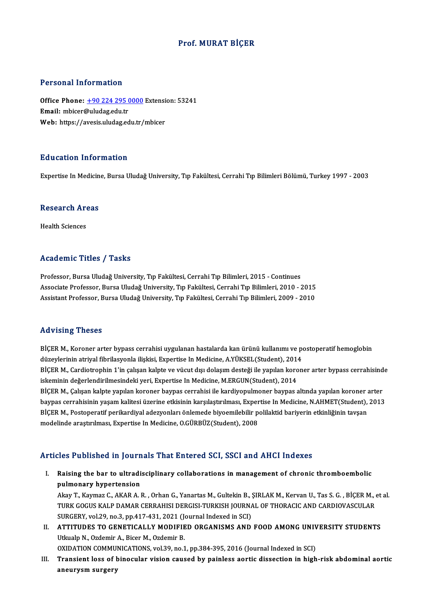### Prof.MURAT BİÇER

#### Personal Information

Personal Information<br>Office Phone: <u>+90 224 295 0000</u> Extension: 53241<br>Email: mbiser@uludes.edu.tr Procedure Historical<br>Office Phone: <u>+90 224 295 (</u><br>Email: mbicer[@uludag.edu.tr](tel:+90 224 295 0000) Office Phone: <u>+90 224 295 0000</u> Extensi<br>Email: mbicer@uludag.edu.tr<br>Web: https://avesis.uludag.edu.tr/mbicer Web: https://avesis.uludag.edu.tr/mbicer<br>Education Information

Expertise InMedicine,BursaUludağUniversity,Tıp Fakültesi,CerrahiTıpBilimleriBölümü,Turkey1997 -2003

### experuse in Medicin<br>Research Areas R<mark>esearch Ar</mark><br>Health Sciences

# Academic Titles / Tasks

Professor, Bursa Uludağ University, Tıp Fakültesi, Cerrahi Tıp Bilimleri, 2015 - Continues Associate Professor, Bursa Uludağ University, Tıp Fakültesi, Cerrahi Tıp Bilimleri, 2010 - 2015 Assistant Professor, Bursa Uludağ University, Tıp Fakültesi, Cerrahi Tıp Bilimleri, 2009 - 2010

#### Advising Theses

Advising Theses<br>BİÇER M., Koroner arter bypass cerrahisi uygulanan hastalarda kan ürünü kullanımı ve postoperatif hemoglobin<br>dürevlerinin etrival fibrilesyonle ilişkişi Evnertise In Medisine, A vüyeri (Student), 2014 rıa vasırı<sub>p</sub> rifesesi<br>BİÇER M., Koroner arter bypass cerrahisi uygulanan hastalarda kan ürünü kullanımı ve po<br>düzeylerinin atriyal fibrilasyonla ilişkisi, Expertise In Medicine, A.YÜKSEL(Student), 2014<br>PİCER M. Cardiotrop BİÇER M., Koroner arter bypass cerrahisi uygulanan hastalarda kan ürünü kullanımı ve postoperatif hemoglobin<br>düzeylerinin atriyal fibrilasyonla ilişkisi, Expertise In Medicine, A.YÜKSEL(Student), 2014<br>BİÇER M., Cardiotroph düzeylerinin atriyal fibrilasyonla ilişkisi, Expertise In Medicine, A.YÜKSEL(Student), 2014<br>BİÇER M., Cardiotrophin 1'in çalışan kalpte ve vücut dışı dolaşım desteği ile yapılan koro<br>iskeminin değerlendirilmesindeki yeri, BİÇER M., Cardiotrophin 1'in çalışan kalpte ve vücut dışı dolaşım desteği ile yapılan koroner arter bypass cerrahisind<br>iskeminin değerlendirilmesindeki yeri, Expertise In Medicine, M.ERGUN(Student), 2014<br>BİÇER M., Çalışan iskeminin değerlendirilmesindeki yeri, Expertise In Medicine, M.ERGUN(Student), 2014<br>BİÇER M., Çalışan kalpte yapılan koroner baypas cerrahisi ile kardiyopulmoner baypas altında yapılan koroner arter<br>baypas cerrahisinin ya BİÇER M., Çalışan kalpte yapılan koroner baypas cerrahisi ile kardiyopulmoner baypas altında yapılan koroner a<br>baypas cerrahisinin yaşam kalitesi üzerine etkisinin karşılaştırılması, Expertise In Medicine, N.AHMET(Student) baypas cerrahisinin yaşam kalitesi üzerine etkisinin karşılaştırılması, Exper<br>BİÇER M., Postoperatif perikardiyal adezyonları önlemede biyoemilebilir p<br>modelinde araştırılması, Expertise In Medicine, O.GÜRBÜZ(Student), 200

# modelinde araştırılması, Expertise In Medicine, O.GÜRBÜZ(Student), 2008<br>Articles Published in Journals That Entered SCI, SSCI and AHCI Indexes

rticles Published in Journals That Entered SCI, SSCI and AHCI Indexes<br>I. Raising the bar to ultradisciplinary collaborations in management of chronic thromboembolic<br>nulmonew bypatencion Raising the bar to ultrading<br>pulmonary hypertension<br>Almy T. Vaumar C. AVAB A. Raising the bar to ultradisciplinary collaborations in management of chronic thromboembolic<br>pulmonary hypertension<br>Akay T., Kaymaz C., AKAR A. R. , Orhan G., Yanartas M., Gultekin B., ŞIRLAK M., Kervan U., Tas S. G. , BİÇE

pulmonary hypertension<br>Akay T., Kaymaz C., AKAR A. R. , Orhan G., Yanartas M., Gultekin B., ŞIRLAK M., Kervan U., Tas S. G. , BİÇER M<br>TURK GOGUS KALP DAMAR CERRAHISI DERGISI-TURKISH JOURNAL OF THORACIC AND CARDIOVASCULAR<br>S Akay T., Kaymaz C., AKAR A. R. , Orhan G., Yanartas M., Gultekin B., ;<br>TURK GOGUS KALP DAMAR CERRAHISI DERGISI-TURKISH JOURNA<br>SURGERY, vol.29, no.3, pp.417-431, 2021 (Journal Indexed in SCI)<br>ATTITUDES TO CENETICALLY MODIEI TURK GOGUS KALP DAMAR CERRAHISI DERGISI-TURKISH JOURNAL OF THORACIC AND CARDIOVASCULAR<br>SURGERY, vol.29, no.3, pp.417-431, 2021 (Journal Indexed in SCI)<br>II. ATTITUDES TO GENETICALLY MODIFIED ORGANISMS AND FOOD AMONG UNIVERS

SURGERY, vol.29, no.3, pp.417-431, 2021 (Je<br>ATTITUDES TO GENETICALLY MODIFIE<br>Utkualp N., Ozdemir A., Bicer M., Ozdemir B.<br>OYIDATION COMMUNICATIONS vol.39, no.1 ATTITUDES TO GENETICALLY MODIFIED ORGANISMS AND FOOD AMONG UNIV<br>Utkualp N., Ozdemir A., Bicer M., Ozdemir B.<br>OXIDATION COMMUNICATIONS, vol.39, no.1, pp.384-395, 2016 (Journal Indexed in SCI)<br>Transient less of binosular vis

OXIDATION COMMUNICATIONS, vol.39, no.1, pp.384-395, 2016 (Journal Indexed in SCI)

Utkualp N., Ozdemir A., Bicer M., Ozdemir B.<br>OXIDATION COMMUNICATIONS, vol.39, no.1, pp.384-395, 2016 (Journal Indexed in SCI)<br>III. Transient loss of binocular vision caused by painless aortic dissection in high-risk a